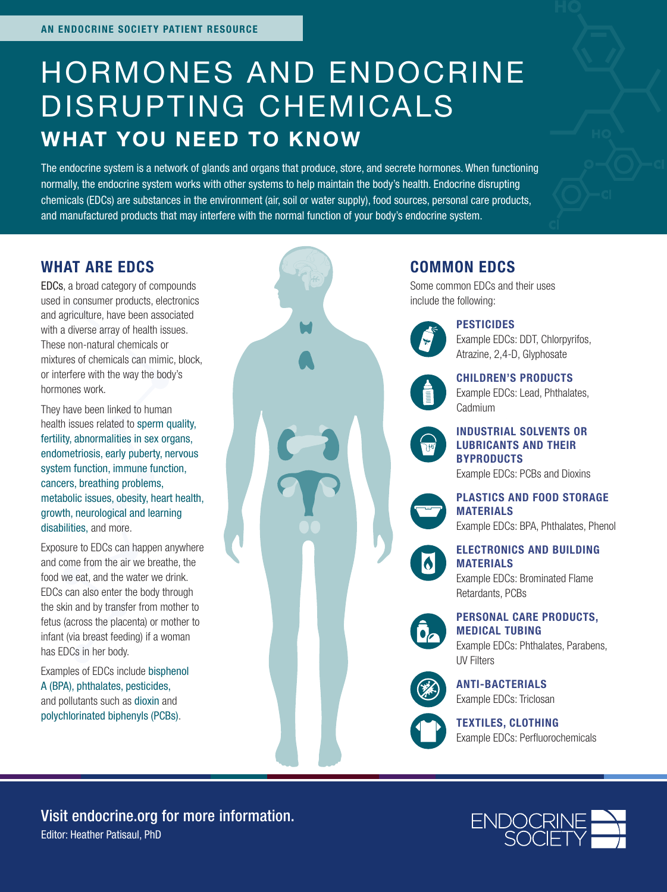# HORMONES AND ENDOCRINE DISRUPTING CHEMICALS WHAT YOU NEED TO KNOW

The endocrine system is a network of glands and organs that produce, store, and secrete hormones. When functioning normally, the endocrine system works with other systems to help maintain the body's health. Endocrine disrupting chemicals (EDCs) are substances in the environment (air, soil or water supply), food sources, personal care products, and manufactured products that may interfere with the normal function of your body's endocrine system.

#### WHAT ARE EDCS

EDCs, a broad category of compounds used in consumer products, electronics and agriculture, have been associated with a diverse array of health issues. These non-natural chemicals or mixtures of chemicals can mimic, block, or interfere with the way the body's hormones work.

They have been linked to human health issues related to sperm quality, fertility, abnormalities in sex organs, endometriosis, early puberty, nervous system function, immune function, cancers, breathing problems, metabolic issues, obesity, heart health, growth, neurological and learning disabilities, and more.

Exposure to EDCs can happen anywhere and come from the air we breathe, the food we eat, and the water we drink. EDCs can also enter the body through the skin and by transfer from mother to fetus (across the placenta) or mother to infant (via breast feeding) if a woman has EDCs in her body.

Examples of EDCs include bisphenol A (BPA), phthalates, pesticides, and pollutants such as dioxin and polychlorinated biphenyls (PCBs).

#### COMMON EDCS

Some common EDCs and their uses include the following:



PESTICIDES

Example EDCs: DDT, Chlorpyrifos, Atrazine, 2,4-D, Glyphosate



CHILDREN'S PRODUCTS Example EDCs: Lead, Phthalates, Cadmium

INDUSTRIAL SOLVENTS OR LUBRICANTS AND THEIR **BYPRODUCTS** 

Example EDCs: PCBs and Dioxins

PLASTICS AND FOOD STORAGE MATERIALS Example EDCs: BPA, Phthalates, Phenol

ELECTRONICS AND BUILDING MATERIALS

Example EDCs: Brominated Flame Retardants, PCBs

PERSONAL CARE PRODUCTS,

MEDICAL TUBING Example EDCs: Phthalates, Parabens, UV Filters



ANTI-BACTERIALS Example EDCs: Triclosan

TEXTILES, CLOTHING Example EDCs: Perfluorochemicals

Editor: Heather Patisaul, PhD Visit endocrine.org for more information.